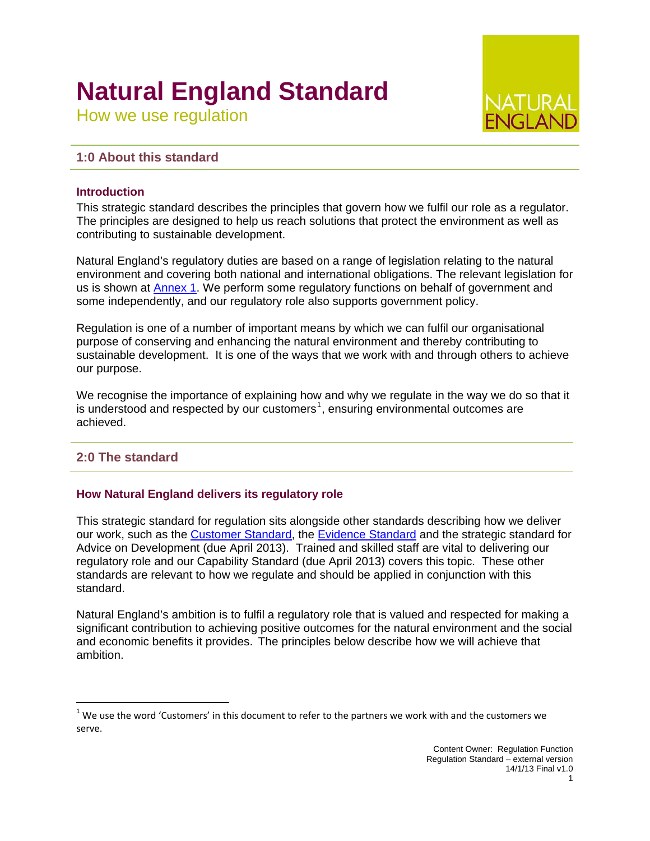# **Natural England Standard**

How we use regulation

# **1:0 About this standard**

### **Introduction**

This strategic standard describes the principles that govern how we fulfil our role as a regulator. The principles are designed to help us reach solutions that protect the environment as well as contributing to sustainable development.

Natural England's regulatory duties are based on a range of legislation relating to the natural environment and covering both national and international obligations. The relevant legislation for us is shown at [Annex 1](#page-4-0). We perform some regulatory functions on behalf of government and some independently, and our regulatory role also supports government policy.

Regulation is one of a number of important means by which we can fulfil our organisational purpose of conserving and enhancing the natural environment and thereby contributing to sustainable development. It is one of the ways that we work with and through others to achieve our purpose.

We recognise the importance of explaining how and why we regulate in the way we do so that it is understood and respected by our customers<sup>[1](#page-0-0)</sup>, ensuring environmental outcomes are achieved.

# **2:0 The standard**

#### **How Natural England delivers its regulatory role**

This strategic standard for regulation sits alongside other standards describing how we deliver our work, such as the [Customer Standard,](http://publications.naturalengland.org.uk/category/3769710) the [Evidence Standard](http://publications.naturalengland.org.uk/category/3769710) and the strategic standard for Advice on Development (due April 2013). Trained and skilled staff are vital to delivering our regulatory role and our Capability Standard (due April 2013) covers this topic. These other standards are relevant to how we regulate and should be applied in conjunction with this standard.

Natural England's ambition is to fulfil a regulatory role that is valued and respected for making a significant contribution to achieving positive outcomes for the natural environment and the social and economic benefits it provides. The principles below describe how we will achieve that ambition.

<span id="page-0-0"></span> $1$  We use the word 'Customers' in this document to refer to the partners we work with and the customers we serve.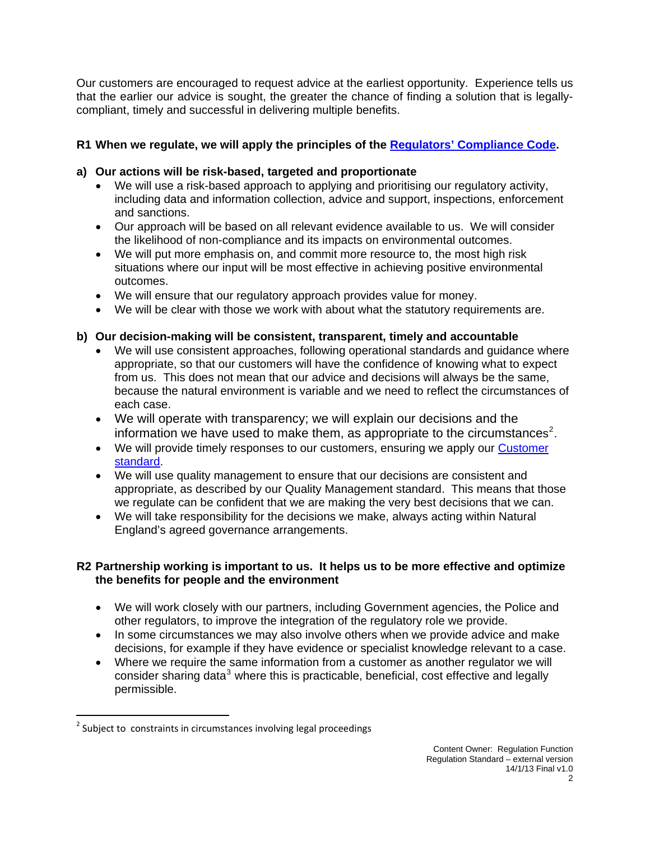Our customers are encouraged to request advice at the earliest opportunity. Experience tells us that the earlier our advice is sought, the greater the chance of finding a solution that is legallycompliant, timely and successful in delivering multiple benefits.

# **R1 When we regulate, we will apply the principles of the [Regulators' Compliance Code.](http://www.berr.gov.uk/files/file45019.pdf)**

# **a) Our actions will be risk-based, targeted and proportionate**

- We will use a risk-based approach to applying and prioritising our regulatory activity, including data and information collection, advice and support, inspections, enforcement and sanctions.
- Our approach will be based on all relevant evidence available to us. We will consider the likelihood of non-compliance and its impacts on environmental outcomes.
- We will put more emphasis on, and commit more resource to, the most high risk situations where our input will be most effective in achieving positive environmental outcomes.
- We will ensure that our regulatory approach provides value for money.
- We will be clear with those we work with about what the statutory requirements are.

# **b) Our decision-making will be consistent, transparent, timely and accountable**

- We will use consistent approaches, following operational standards and guidance where appropriate, so that our customers will have the confidence of knowing what to expect from us. This does not mean that our advice and decisions will always be the same, because the natural environment is variable and we need to reflect the circumstances of each case.
- We will operate with transparency; we will explain our decisions and the information we have used to make them, as appropriate to the circumstances<sup>[2](#page-1-0)</sup>.
- We will provide timely responses to our customers, ensuring we apply our [Customer](http://publications.naturalengland.org.uk/category/3769710)  [standard.](http://publications.naturalengland.org.uk/category/3769710)
- We will use quality management to ensure that our decisions are consistent and appropriate, as described by our Quality Management standard. This means that those we regulate can be confident that we are making the very best decisions that we can.
- We will take responsibility for the decisions we make, always acting within Natural England's agreed governance arrangements.

# **R2 Partnership working is important to us. It helps us to be more effective and optimize the benefits for people and the environment**

- We will work closely with our partners, including Government agencies, the Police and other regulators, to improve the integration of the regulatory role we provide.
- In some circumstances we may also involve others when we provide advice and make decisions, for example if they have evidence or specialist knowledge relevant to a case.
- Where we require the same information from a customer as another regulator we will consider sharing data $3$  where this is practicable, beneficial, cost effective and legally permissible.

<span id="page-1-0"></span> $2$  Subject to constraints in circumstances involving legal proceedings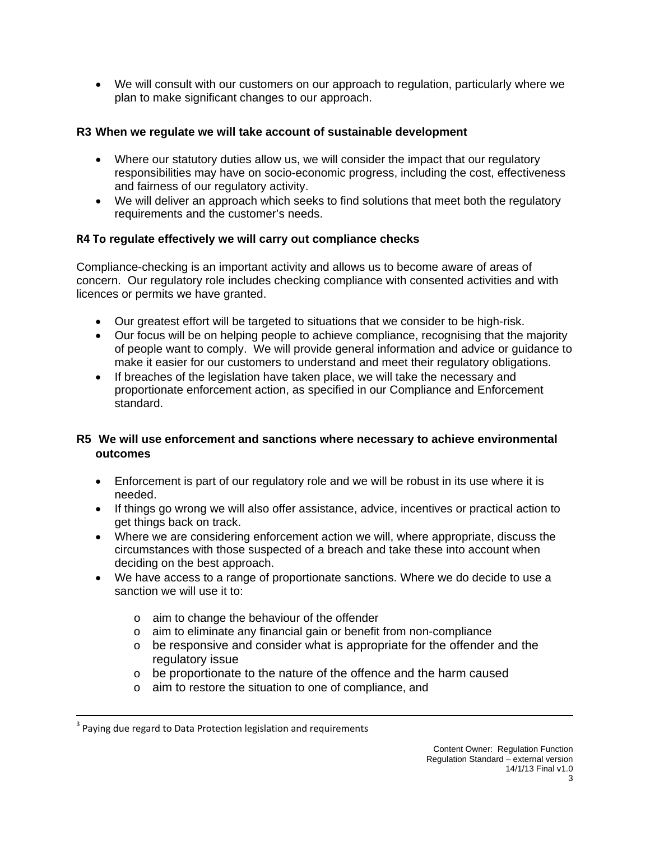• We will consult with our customers on our approach to regulation, particularly where we plan to make significant changes to our approach.

# **R3 When we regulate we will take account of sustainable development**

- Where our statutory duties allow us, we will consider the impact that our regulatory responsibilities may have on socio-economic progress, including the cost, effectiveness and fairness of our regulatory activity.
- We will deliver an approach which seeks to find solutions that meet both the regulatory requirements and the customer's needs.

# **R4 To regulate effectively we will carry out compliance checks**

Compliance-checking is an important activity and allows us to become aware of areas of concern. Our regulatory role includes checking compliance with consented activities and with licences or permits we have granted.

- Our greatest effort will be targeted to situations that we consider to be high-risk.
- Our focus will be on helping people to achieve compliance, recognising that the majority of people want to comply. We will provide general information and advice or guidance to make it easier for our customers to understand and meet their regulatory obligations.
- If breaches of the legislation have taken place, we will take the necessary and proportionate enforcement action, as specified in our Compliance and Enforcement standard.

## **R5 We will use enforcement and sanctions where necessary to achieve environmental outcomes**

- Enforcement is part of our regulatory role and we will be robust in its use where it is needed.
- If things go wrong we will also offer assistance, advice, incentives or practical action to get things back on track.
- Where we are considering enforcement action we will, where appropriate, discuss the circumstances with those suspected of a breach and take these into account when deciding on the best approach.
- We have access to a range of proportionate sanctions. Where we do decide to use a sanction we will use it to:
	- o aim to change the behaviour of the offender
	- o aim to eliminate any financial gain or benefit from non-compliance
	- $\circ$  be responsive and consider what is appropriate for the offender and the regulatory issue
	- o be proportionate to the nature of the offence and the harm caused

<u> 1989 - Johann Stein, marwolaethau a cyfeiliad y cyfeiliad a gynydd a gynydd a gynydd a gynydd a gynydd a gyn</u>

o aim to restore the situation to one of compliance, and

 $3$  Paying due regard to Data Protection legislation and requirements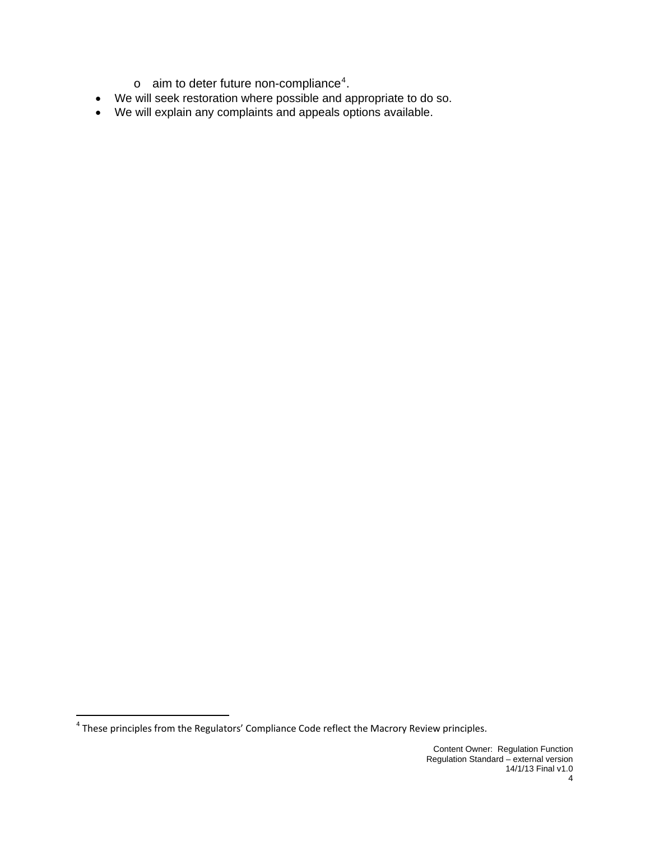- $\circ$  aim to deter future non-compliance<sup>[4](#page-3-0)</sup>.
- We will seek restoration where possible and appropriate to do so.
- We will explain any complaints and appeals options available.

<span id="page-3-0"></span>  $^4$  These principles from the Regulators' Compliance Code reflect the Macrory Review principles.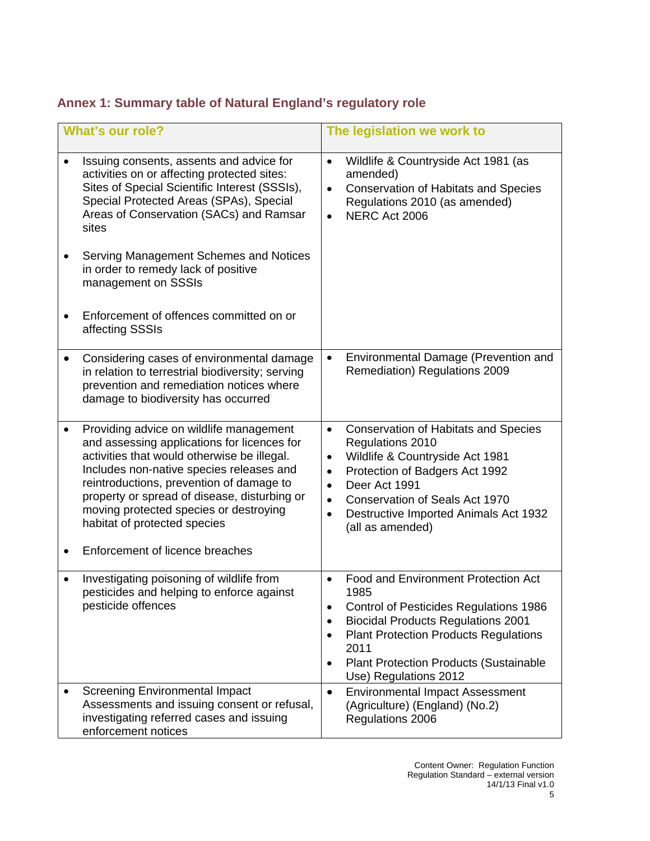# <span id="page-4-0"></span>**Annex 1: Summary table of Natural England's regulatory role**

| <b>What's our role?</b>                                                                                                                                                                                                                                                                                                                                                                                       | The legislation we work to                                                                                                                                                                                                                                                                                                                   |  |  |
|---------------------------------------------------------------------------------------------------------------------------------------------------------------------------------------------------------------------------------------------------------------------------------------------------------------------------------------------------------------------------------------------------------------|----------------------------------------------------------------------------------------------------------------------------------------------------------------------------------------------------------------------------------------------------------------------------------------------------------------------------------------------|--|--|
| Issuing consents, assents and advice for<br>activities on or affecting protected sites:<br>Sites of Special Scientific Interest (SSSIs),<br>Special Protected Areas (SPAs), Special<br>Areas of Conservation (SACs) and Ramsar<br>sites<br>Serving Management Schemes and Notices<br>in order to remedy lack of positive<br>management on SSSIs<br>Enforcement of offences committed on or<br>affecting SSSIs | Wildlife & Countryside Act 1981 (as<br>$\bullet$<br>amended)<br><b>Conservation of Habitats and Species</b><br>$\bullet$<br>Regulations 2010 (as amended)<br>NERC Act 2006<br>$\bullet$                                                                                                                                                      |  |  |
| Considering cases of environmental damage<br>in relation to terrestrial biodiversity; serving<br>prevention and remediation notices where<br>damage to biodiversity has occurred                                                                                                                                                                                                                              | Environmental Damage (Prevention and<br>$\bullet$<br>Remediation) Regulations 2009                                                                                                                                                                                                                                                           |  |  |
| Providing advice on wildlife management<br>and assessing applications for licences for<br>activities that would otherwise be illegal.<br>Includes non-native species releases and<br>reintroductions, prevention of damage to<br>property or spread of disease, disturbing or<br>moving protected species or destroying<br>habitat of protected species<br>Enforcement of licence breaches                    | <b>Conservation of Habitats and Species</b><br>$\bullet$<br>Regulations 2010<br>Wildlife & Countryside Act 1981<br>$\bullet$<br>Protection of Badgers Act 1992<br>$\bullet$<br>Deer Act 1991<br>$\bullet$<br><b>Conservation of Seals Act 1970</b><br>$\bullet$<br>Destructive Imported Animals Act 1932<br>$\bullet$<br>(all as amended)    |  |  |
| Investigating poisoning of wildlife from<br>٠<br>pesticides and helping to enforce against<br>pesticide offences                                                                                                                                                                                                                                                                                              | <b>Food and Environment Protection Act</b><br>$\bullet$<br>1985<br>Control of Pesticides Regulations 1986<br>$\bullet$<br><b>Biocidal Products Regulations 2001</b><br>$\bullet$<br><b>Plant Protection Products Regulations</b><br>$\bullet$<br>2011<br><b>Plant Protection Products (Sustainable</b><br>$\bullet$<br>Use) Regulations 2012 |  |  |
| <b>Screening Environmental Impact</b><br>Assessments and issuing consent or refusal,<br>investigating referred cases and issuing<br>enforcement notices                                                                                                                                                                                                                                                       | <b>Environmental Impact Assessment</b><br>$\bullet$<br>(Agriculture) (England) (No.2)<br>Regulations 2006                                                                                                                                                                                                                                    |  |  |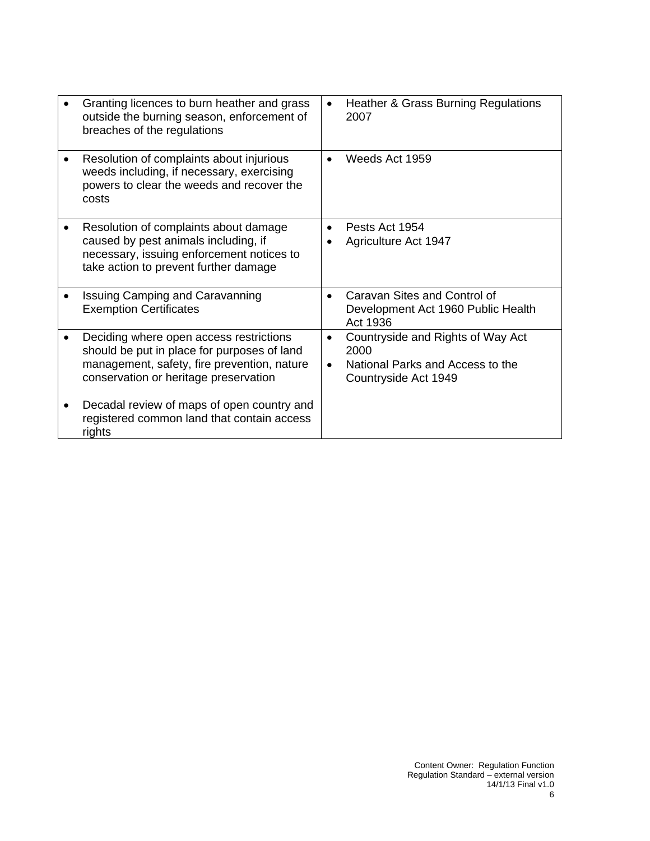| Granting licences to burn heather and grass<br>outside the burning season, enforcement of<br>breaches of the regulations                                                       | $\bullet$              | <b>Heather &amp; Grass Burning Regulations</b><br>2007                                                |
|--------------------------------------------------------------------------------------------------------------------------------------------------------------------------------|------------------------|-------------------------------------------------------------------------------------------------------|
| Resolution of complaints about injurious<br>weeds including, if necessary, exercising<br>powers to clear the weeds and recover the<br>costs                                    | $\bullet$              | Weeds Act 1959                                                                                        |
| Resolution of complaints about damage<br>caused by pest animals including, if<br>necessary, issuing enforcement notices to<br>take action to prevent further damage            | $\bullet$              | Pests Act 1954<br>Agriculture Act 1947                                                                |
| <b>Issuing Camping and Caravanning</b><br><b>Exemption Certificates</b>                                                                                                        | $\bullet$              | Caravan Sites and Control of<br>Development Act 1960 Public Health<br>Act 1936                        |
| Deciding where open access restrictions<br>should be put in place for purposes of land<br>management, safety, fire prevention, nature<br>conservation or heritage preservation | $\bullet$<br>$\bullet$ | Countryside and Rights of Way Act<br>2000<br>National Parks and Access to the<br>Countryside Act 1949 |
| Decadal review of maps of open country and<br>registered common land that contain access<br>rights                                                                             |                        |                                                                                                       |